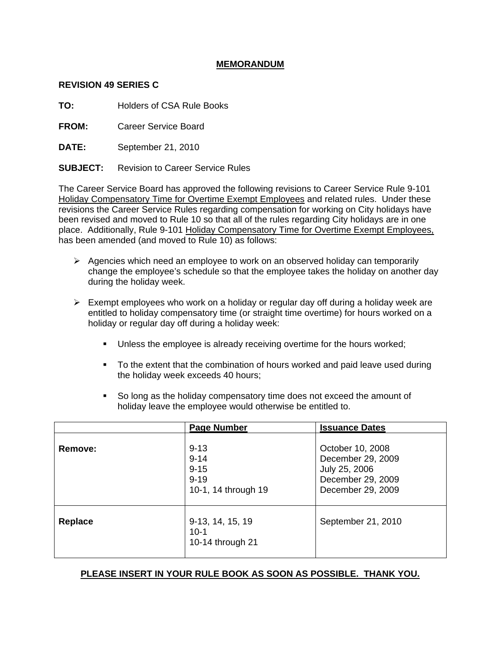# **MEMORANDUM**

### **REVISION 49 SERIES C**

**TO:** Holders of CSA Rule Books

**FROM:** Career Service Board

**DATE:** September 21, 2010

**SUBJECT:** Revision to Career Service Rules

The Career Service Board has approved the following revisions to Career Service Rule 9-101 Holiday Compensatory Time for Overtime Exempt Employees and related rules. Under these revisions the Career Service Rules regarding compensation for working on City holidays have been revised and moved to Rule 10 so that all of the rules regarding City holidays are in one place. Additionally, Rule 9-101 Holiday Compensatory Time for Overtime Exempt Employees, has been amended (and moved to Rule 10) as follows:

- $\triangleright$  Agencies which need an employee to work on an observed holiday can temporarily change the employee's schedule so that the employee takes the holiday on another day during the holiday week.
- $\triangleright$  Exempt employees who work on a holiday or regular day off during a holiday week are entitled to holiday compensatory time (or straight time overtime) for hours worked on a holiday or regular day off during a holiday week:
	- Unless the employee is already receiving overtime for the hours worked;
	- To the extent that the combination of hours worked and paid leave used during the holiday week exceeds 40 hours;
	- So long as the holiday compensatory time does not exceed the amount of holiday leave the employee would otherwise be entitled to.

|         | <b>Page Number</b>                                                  | <b>Issuance Dates</b>                                                                            |
|---------|---------------------------------------------------------------------|--------------------------------------------------------------------------------------------------|
| Remove: | $9 - 13$<br>$9 - 14$<br>$9 - 15$<br>$9 - 19$<br>10-1, 14 through 19 | October 10, 2008<br>December 29, 2009<br>July 25, 2006<br>December 29, 2009<br>December 29, 2009 |
| Replace | 9-13, 14, 15, 19<br>$10 - 1$<br>10-14 through 21                    | September 21, 2010                                                                               |

# **PLEASE INSERT IN YOUR RULE BOOK AS SOON AS POSSIBLE. THANK YOU.**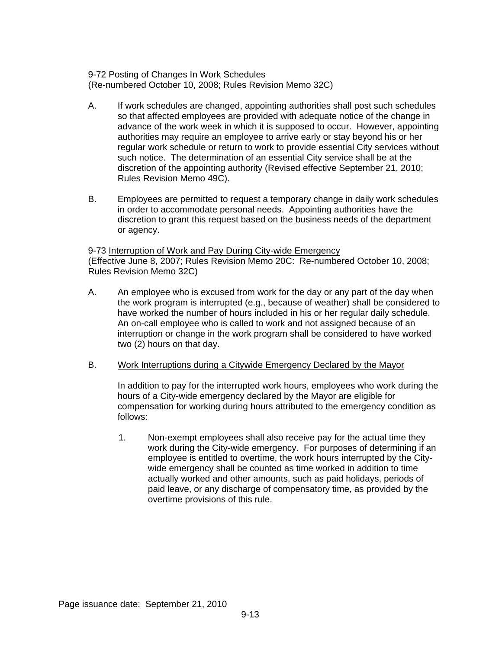9-72 Posting of Changes In Work Schedules (Re-numbered October 10, 2008; Rules Revision Memo 32C)

- A. If work schedules are changed, appointing authorities shall post such schedules so that affected employees are provided with adequate notice of the change in advance of the work week in which it is supposed to occur. However, appointing authorities may require an employee to arrive early or stay beyond his or her regular work schedule or return to work to provide essential City services without such notice. The determination of an essential City service shall be at the discretion of the appointing authority (Revised effective September 21, 2010; Rules Revision Memo 49C).
- B. Employees are permitted to request a temporary change in daily work schedules in order to accommodate personal needs. Appointing authorities have the discretion to grant this request based on the business needs of the department or agency.

# 9-73 Interruption of Work and Pay During City-wide Emergency (Effective June 8, 2007; Rules Revision Memo 20C: Re-numbered October 10, 2008; Rules Revision Memo 32C)

- A. An employee who is excused from work for the day or any part of the day when the work program is interrupted (e.g., because of weather) shall be considered to have worked the number of hours included in his or her regular daily schedule. An on-call employee who is called to work and not assigned because of an interruption or change in the work program shall be considered to have worked two (2) hours on that day.
- B. Work Interruptions during a Citywide Emergency Declared by the Mayor

In addition to pay for the interrupted work hours, employees who work during the hours of a City-wide emergency declared by the Mayor are eligible for compensation for working during hours attributed to the emergency condition as follows:

1. Non-exempt employees shall also receive pay for the actual time they work during the City-wide emergency. For purposes of determining if an employee is entitled to overtime, the work hours interrupted by the Citywide emergency shall be counted as time worked in addition to time actually worked and other amounts, such as paid holidays, periods of paid leave, or any discharge of compensatory time, as provided by the overtime provisions of this rule.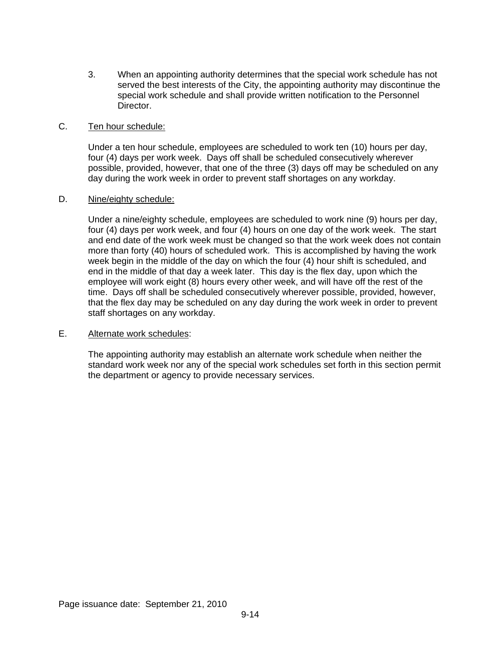3. When an appointing authority determines that the special work schedule has not served the best interests of the City, the appointing authority may discontinue the special work schedule and shall provide written notification to the Personnel Director.

### C. Ten hour schedule:

Under a ten hour schedule, employees are scheduled to work ten (10) hours per day, four (4) days per work week. Days off shall be scheduled consecutively wherever possible, provided, however, that one of the three (3) days off may be scheduled on any day during the work week in order to prevent staff shortages on any workday.

### D. Nine/eighty schedule:

Under a nine/eighty schedule, employees are scheduled to work nine (9) hours per day, four (4) days per work week, and four (4) hours on one day of the work week. The start and end date of the work week must be changed so that the work week does not contain more than forty (40) hours of scheduled work. This is accomplished by having the work week begin in the middle of the day on which the four (4) hour shift is scheduled, and end in the middle of that day a week later. This day is the flex day, upon which the employee will work eight (8) hours every other week, and will have off the rest of the time. Days off shall be scheduled consecutively wherever possible, provided, however, that the flex day may be scheduled on any day during the work week in order to prevent staff shortages on any workday.

# E. Alternate work schedules:

The appointing authority may establish an alternate work schedule when neither the standard work week nor any of the special work schedules set forth in this section permit the department or agency to provide necessary services.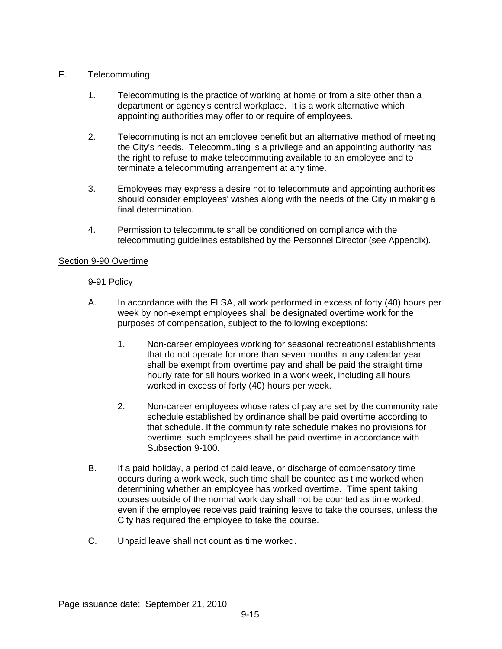# F. Telecommuting:

- 1. Telecommuting is the practice of working at home or from a site other than a department or agency's central workplace. It is a work alternative which appointing authorities may offer to or require of employees.
- 2. Telecommuting is not an employee benefit but an alternative method of meeting the City's needs. Telecommuting is a privilege and an appointing authority has the right to refuse to make telecommuting available to an employee and to terminate a telecommuting arrangement at any time.
- 3. Employees may express a desire not to telecommute and appointing authorities should consider employees' wishes along with the needs of the City in making a final determination.
- 4. Permission to telecommute shall be conditioned on compliance with the telecommuting guidelines established by the Personnel Director (see Appendix).

# Section 9-90 Overtime

# 9-91 Policy

- A. In accordance with the FLSA, all work performed in excess of forty (40) hours per week by non-exempt employees shall be designated overtime work for the purposes of compensation, subject to the following exceptions:
	- 1. Non-career employees working for seasonal recreational establishments that do not operate for more than seven months in any calendar year shall be exempt from overtime pay and shall be paid the straight time hourly rate for all hours worked in a work week, including all hours worked in excess of forty (40) hours per week.
	- 2. Non-career employees whose rates of pay are set by the community rate schedule established by ordinance shall be paid overtime according to that schedule. If the community rate schedule makes no provisions for overtime, such employees shall be paid overtime in accordance with Subsection 9-100.
- B. If a paid holiday, a period of paid leave, or discharge of compensatory time occurs during a work week, such time shall be counted as time worked when determining whether an employee has worked overtime. Time spent taking courses outside of the normal work day shall not be counted as time worked, even if the employee receives paid training leave to take the courses, unless the City has required the employee to take the course.
- C. Unpaid leave shall not count as time worked.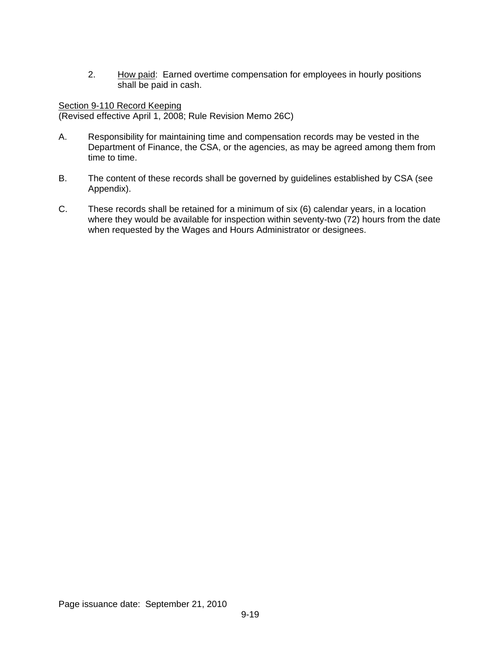2. How paid: Earned overtime compensation for employees in hourly positions shall be paid in cash.

# Section 9-110 Record Keeping

(Revised effective April 1, 2008; Rule Revision Memo 26C)

- A. Responsibility for maintaining time and compensation records may be vested in the Department of Finance, the CSA, or the agencies, as may be agreed among them from time to time.
- B. The content of these records shall be governed by guidelines established by CSA (see Appendix).
- C. These records shall be retained for a minimum of six (6) calendar years, in a location where they would be available for inspection within seventy-two (72) hours from the date when requested by the Wages and Hours Administrator or designees.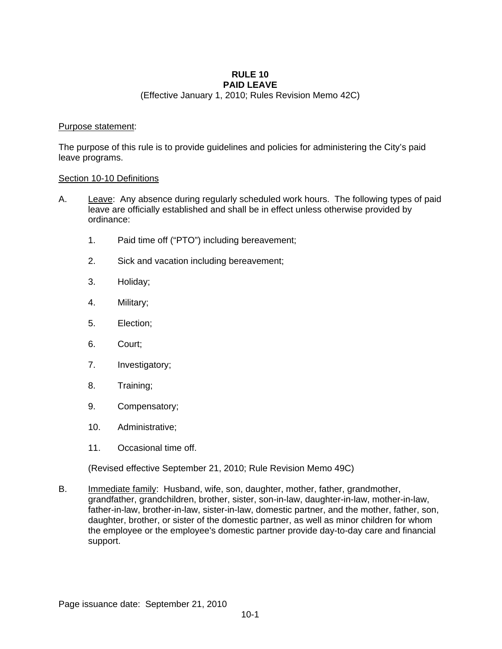#### **RULE 10 PAID LEAVE**

(Effective January 1, 2010; Rules Revision Memo 42C)

### Purpose statement:

The purpose of this rule is to provide guidelines and policies for administering the City's paid leave programs.

### Section 10-10 Definitions

- A. Leave: Any absence during regularly scheduled work hours. The following types of paid leave are officially established and shall be in effect unless otherwise provided by ordinance:
	- 1. Paid time off ("PTO") including bereavement;
	- 2. Sick and vacation including bereavement;
	- 3. Holiday;
	- 4. Military;
	- 5. Election;
	- 6. Court;
	- 7. Investigatory;
	- 8. Training;
	- 9. Compensatory;
	- 10. Administrative;
	- 11. Occasional time off.

(Revised effective September 21, 2010; Rule Revision Memo 49C)

B. Immediate family: Husband, wife, son, daughter, mother, father, grandmother, grandfather, grandchildren, brother, sister, son-in-law, daughter-in-law, mother-in-law, father-in-law, brother-in-law, sister-in-law, domestic partner, and the mother, father, son, daughter, brother, or sister of the domestic partner, as well as minor children for whom the employee or the employee's domestic partner provide day-to-day care and financial support.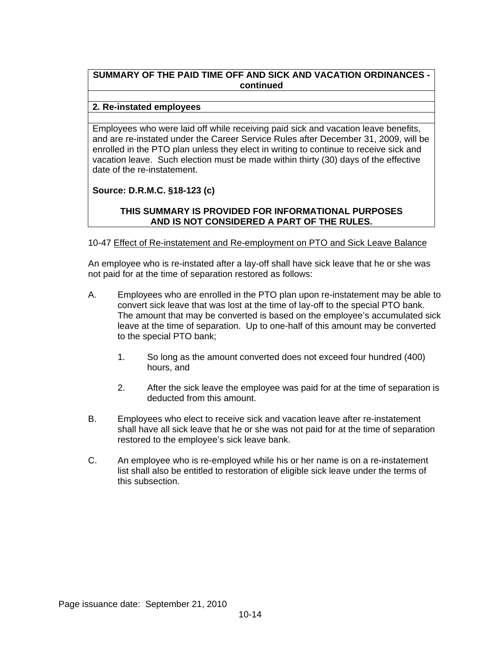# **SUMMARY OF THE PAID TIME OFF AND SICK AND VACATION ORDINANCES continued**

### **2. Re-instated employees**

Employees who were laid off while receiving paid sick and vacation leave benefits, and are re-instated under the Career Service Rules after December 31, 2009, will be enrolled in the PTO plan unless they elect in writing to continue to receive sick and vacation leave. Such election must be made within thirty (30) days of the effective date of the re-instatement.

# **Source: D.R.M.C. §18-123 (c)**

# **THIS SUMMARY IS PROVIDED FOR INFORMATIONAL PURPOSES AND IS NOT CONSIDERED A PART OF THE RULES.**

### 10-47 Effect of Re-instatement and Re-employment on PTO and Sick Leave Balance

An employee who is re-instated after a lay-off shall have sick leave that he or she was not paid for at the time of separation restored as follows:

- A. Employees who are enrolled in the PTO plan upon re-instatement may be able to convert sick leave that was lost at the time of lay-off to the special PTO bank. The amount that may be converted is based on the employee's accumulated sick leave at the time of separation. Up to one-half of this amount may be converted to the special PTO bank;
	- 1. So long as the amount converted does not exceed four hundred (400) hours, and
	- 2. After the sick leave the employee was paid for at the time of separation is deducted from this amount.
- B. Employees who elect to receive sick and vacation leave after re-instatement shall have all sick leave that he or she was not paid for at the time of separation restored to the employee's sick leave bank.
- C. An employee who is re-employed while his or her name is on a re-instatement list shall also be entitled to restoration of eligible sick leave under the terms of this subsection.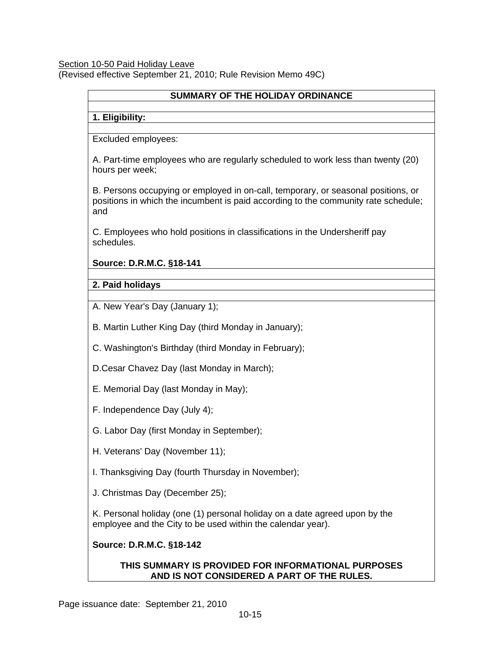Section 10-50 Paid Holiday Leave (Revised effective September 21, 2010; Rule Revision Memo 49C)

# **SUMMARY OF THE HOLIDAY ORDINANCE**

# **1. Eligibility:**

Excluded employees:

A. Part-time employees who are regularly scheduled to work less than twenty (20) hours per week;

B. Persons occupying or employed in on-call, temporary, or seasonal positions, or positions in which the incumbent is paid according to the community rate schedule; and

C. Employees who hold positions in classifications in the Undersheriff pay schedules.

# **Source: D.R.M.C. §18-141**

**2. Paid holidays** 

A. New Year's Day (January 1);

B. Martin Luther King Day (third Monday in January);

C. Washington's Birthday (third Monday in February);

D.Cesar Chavez Day (last Monday in March);

- E. Memorial Day (last Monday in May);
- F. Independence Day (July 4);
- G. Labor Day (first Monday in September);
- H. Veterans' Day (November 11);

I. Thanksgiving Day (fourth Thursday in November);

J. Christmas Day (December 25);

K. Personal holiday (one (1) personal holiday on a date agreed upon by the employee and the City to be used within the calendar year).

# **Source: D.R.M.C. §18-142**

# **THIS SUMMARY IS PROVIDED FOR INFORMATIONAL PURPOSES AND IS NOT CONSIDERED A PART OF THE RULES.**

Page issuance date: September 21, 2010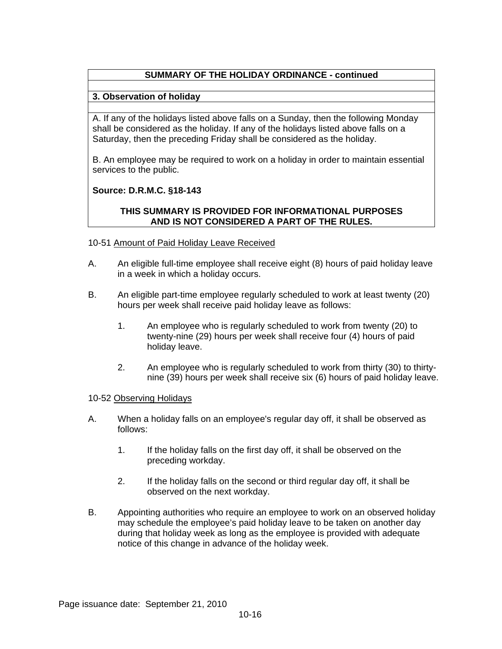# **SUMMARY OF THE HOLIDAY ORDINANCE - continued**

# **3. Observation of holiday**

A. If any of the holidays listed above falls on a Sunday, then the following Monday shall be considered as the holiday. If any of the holidays listed above falls on a Saturday, then the preceding Friday shall be considered as the holiday.

B. An employee may be required to work on a holiday in order to maintain essential services to the public.

### **Source: D.R.M.C. §18-143**

### **THIS SUMMARY IS PROVIDED FOR INFORMATIONAL PURPOSES AND IS NOT CONSIDERED A PART OF THE RULES.**

### 10-51 Amount of Paid Holiday Leave Received

- A. An eligible full-time employee shall receive eight (8) hours of paid holiday leave in a week in which a holiday occurs.
- B. An eligible part-time employee regularly scheduled to work at least twenty (20) hours per week shall receive paid holiday leave as follows:
	- 1. An employee who is regularly scheduled to work from twenty (20) to twenty-nine (29) hours per week shall receive four (4) hours of paid holiday leave.
	- 2. An employee who is regularly scheduled to work from thirty (30) to thirtynine (39) hours per week shall receive six (6) hours of paid holiday leave.

#### 10-52 Observing Holidays

- A. When a holiday falls on an employee's regular day off, it shall be observed as follows:
	- 1. If the holiday falls on the first day off, it shall be observed on the preceding workday.
	- 2. If the holiday falls on the second or third regular day off, it shall be observed on the next workday.
- B. Appointing authorities who require an employee to work on an observed holiday may schedule the employee's paid holiday leave to be taken on another day during that holiday week as long as the employee is provided with adequate notice of this change in advance of the holiday week.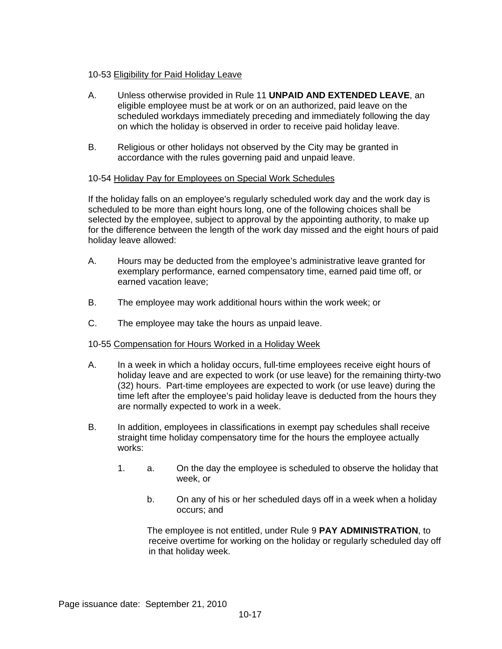# 10-53 Eligibility for Paid Holiday Leave

- A. Unless otherwise provided in Rule 11 **UNPAID AND EXTENDED LEAVE**, an eligible employee must be at work or on an authorized, paid leave on the scheduled workdays immediately preceding and immediately following the day on which the holiday is observed in order to receive paid holiday leave.
- B. Religious or other holidays not observed by the City may be granted in accordance with the rules governing paid and unpaid leave.

### 10-54 Holiday Pay for Employees on Special Work Schedules

If the holiday falls on an employee's regularly scheduled work day and the work day is scheduled to be more than eight hours long, one of the following choices shall be selected by the employee, subject to approval by the appointing authority, to make up for the difference between the length of the work day missed and the eight hours of paid holiday leave allowed:

- A. Hours may be deducted from the employee's administrative leave granted for exemplary performance, earned compensatory time, earned paid time off, or earned vacation leave;
- B. The employee may work additional hours within the work week; or
- C. The employee may take the hours as unpaid leave.

#### 10-55 Compensation for Hours Worked in a Holiday Week

- A. In a week in which a holiday occurs, full-time employees receive eight hours of holiday leave and are expected to work (or use leave) for the remaining thirty-two (32) hours. Part-time employees are expected to work (or use leave) during the time left after the employee's paid holiday leave is deducted from the hours they are normally expected to work in a week.
- B. In addition, employees in classifications in exempt pay schedules shall receive straight time holiday compensatory time for the hours the employee actually works:
	- 1. a. On the day the employee is scheduled to observe the holiday that week, or
		- b. On any of his or her scheduled days off in a week when a holiday occurs; and

The employee is not entitled, under Rule 9 **PAY ADMINISTRATION**, to receive overtime for working on the holiday or regularly scheduled day off in that holiday week.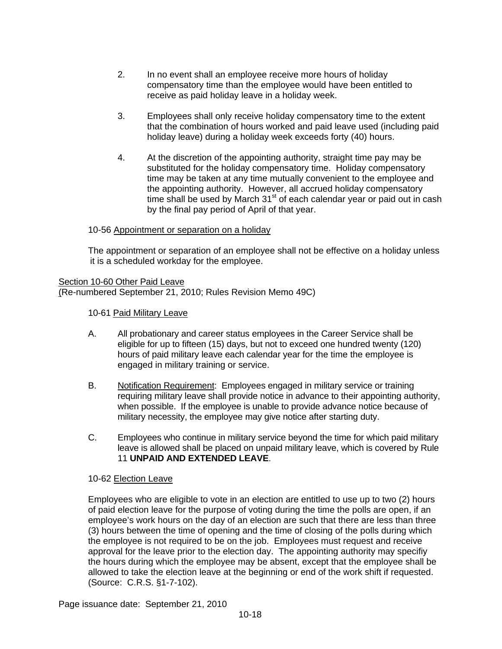- 2. In no event shall an employee receive more hours of holiday compensatory time than the employee would have been entitled to receive as paid holiday leave in a holiday week.
- 3. Employees shall only receive holiday compensatory time to the extent that the combination of hours worked and paid leave used (including paid holiday leave) during a holiday week exceeds forty (40) hours.
- 4. At the discretion of the appointing authority, straight time pay may be substituted for the holiday compensatory time. Holiday compensatory time may be taken at any time mutually convenient to the employee and the appointing authority. However, all accrued holiday compensatory time shall be used by March  $31<sup>st</sup>$  of each calendar year or paid out in cash by the final pay period of April of that year.

### 10-56 Appointment or separation on a holiday

The appointment or separation of an employee shall not be effective on a holiday unless it is a scheduled workday for the employee.

Section 10-60 Other Paid Leave (Re-numbered September 21, 2010; Rules Revision Memo 49C)

10-61 Paid Military Leave

- A. All probationary and career status employees in the Career Service shall be eligible for up to fifteen (15) days, but not to exceed one hundred twenty (120) hours of paid military leave each calendar year for the time the employee is engaged in military training or service.
- B. Notification Requirement: Employees engaged in military service or training requiring military leave shall provide notice in advance to their appointing authority, when possible. If the employee is unable to provide advance notice because of military necessity, the employee may give notice after starting duty.
- C. Employees who continue in military service beyond the time for which paid military leave is allowed shall be placed on unpaid military leave, which is covered by Rule 11 **UNPAID AND EXTENDED LEAVE**.

# 10-62 Election Leave

Employees who are eligible to vote in an election are entitled to use up to two (2) hours of paid election leave for the purpose of voting during the time the polls are open, if an employee's work hours on the day of an election are such that there are less than three (3) hours between the time of opening and the time of closing of the polls during which the employee is not required to be on the job. Employees must request and receive approval for the leave prior to the election day. The appointing authority may specifiy the hours during which the employee may be absent, except that the employee shall be allowed to take the election leave at the beginning or end of the work shift if requested. (Source: C.R.S. §1-7-102).

Page issuance date: September 21, 2010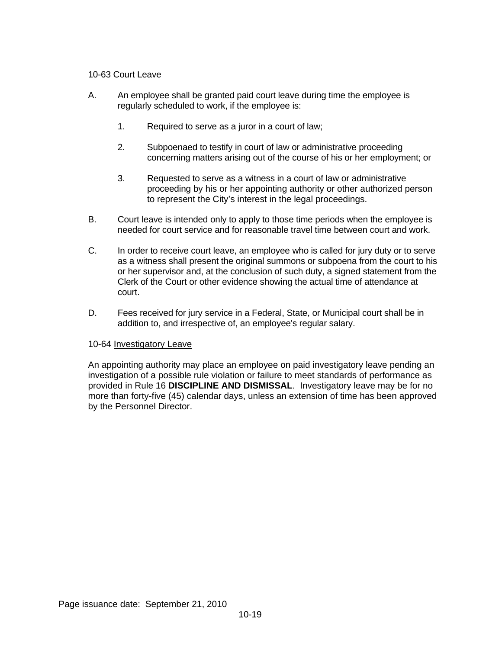# 10-63 Court Leave

- A. An employee shall be granted paid court leave during time the employee is regularly scheduled to work, if the employee is:
	- 1. Required to serve as a juror in a court of law;
	- 2. Subpoenaed to testify in court of law or administrative proceeding concerning matters arising out of the course of his or her employment; or
	- 3. Requested to serve as a witness in a court of law or administrative proceeding by his or her appointing authority or other authorized person to represent the City's interest in the legal proceedings.
- B. Court leave is intended only to apply to those time periods when the employee is needed for court service and for reasonable travel time between court and work.
- C. In order to receive court leave, an employee who is called for jury duty or to serve as a witness shall present the original summons or subpoena from the court to his or her supervisor and, at the conclusion of such duty, a signed statement from the Clerk of the Court or other evidence showing the actual time of attendance at court.
- D. Fees received for jury service in a Federal, State, or Municipal court shall be in addition to, and irrespective of, an employee's regular salary.

# 10-64 Investigatory Leave

An appointing authority may place an employee on paid investigatory leave pending an investigation of a possible rule violation or failure to meet standards of performance as provided in Rule 16 **DISCIPLINE AND DISMISSAL**. Investigatory leave may be for no more than forty-five (45) calendar days, unless an extension of time has been approved by the Personnel Director.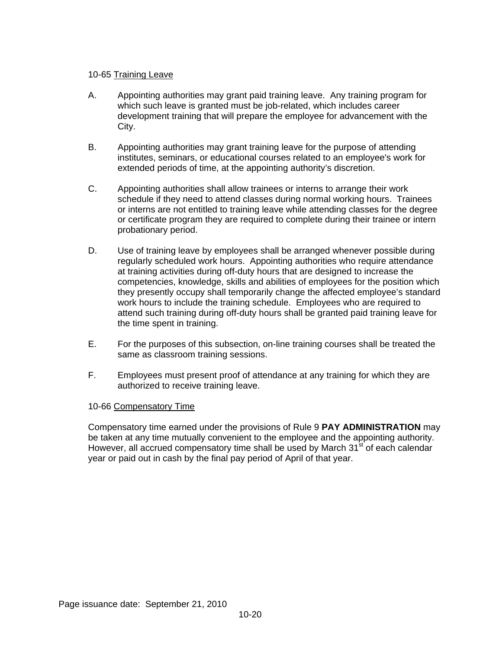# 10-65 Training Leave

- A. Appointing authorities may grant paid training leave. Any training program for which such leave is granted must be job-related, which includes career development training that will prepare the employee for advancement with the City.
- B. Appointing authorities may grant training leave for the purpose of attending institutes, seminars, or educational courses related to an employee's work for extended periods of time, at the appointing authority's discretion.
- C. Appointing authorities shall allow trainees or interns to arrange their work schedule if they need to attend classes during normal working hours. Trainees or interns are not entitled to training leave while attending classes for the degree or certificate program they are required to complete during their trainee or intern probationary period.
- D. Use of training leave by employees shall be arranged whenever possible during regularly scheduled work hours. Appointing authorities who require attendance at training activities during off-duty hours that are designed to increase the competencies, knowledge, skills and abilities of employees for the position which they presently occupy shall temporarily change the affected employee's standard work hours to include the training schedule. Employees who are required to attend such training during off-duty hours shall be granted paid training leave for the time spent in training.
- E. For the purposes of this subsection, on-line training courses shall be treated the same as classroom training sessions.
- F. Employees must present proof of attendance at any training for which they are authorized to receive training leave.

# 10-66 Compensatory Time

Compensatory time earned under the provisions of Rule 9 **PAY ADMINISTRATION** may be taken at any time mutually convenient to the employee and the appointing authority. However, all accrued compensatory time shall be used by March 31<sup>st</sup> of each calendar year or paid out in cash by the final pay period of April of that year.